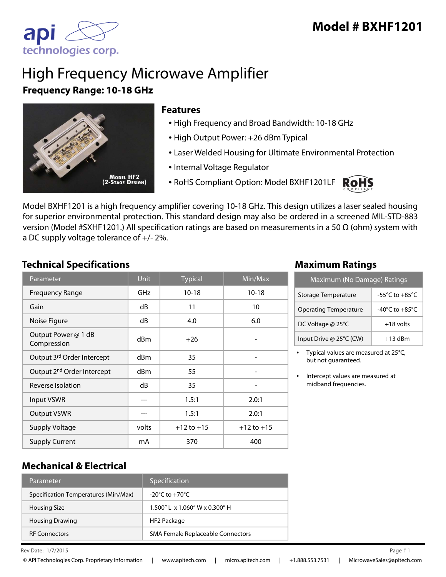

# High Frequency Microwave Amplifier **Frequency Range: 10-18 GHz**



#### **Features**

- High Frequency and Broad Bandwidth: 10-18 GHz
- High Output Power: +26 dBm Typical
- Laser Welded Housing for Ultimate Environmental Protection
- Internal Voltage Regulator
- RoHS Compliant Option: Model BXHF1201LF



Model BXHF1201 is a high frequency amplifier covering 10-18 GHz. This design utilizes a laser sealed housing for superior environmental protection. This standard design may also be ordered in a screened MIL-STD-883 version (Model #SXHF1201.) All specification ratings are based on measurements in a 50 Ω (ohm) system with a DC supply voltage tolerance of +/- 2%.

#### **Technical Specifications Maximum Ratings**

| Parameter                              | <b>Unit</b>     | <b>Typical</b> | Min/Max        |
|----------------------------------------|-----------------|----------------|----------------|
| <b>Frequency Range</b>                 | GHz             | $10 - 18$      | $10 - 18$      |
| Gain                                   | dB              | 11             | 10             |
| Noise Figure                           | dB              | 4.0            | 6.0            |
| Output Power @ 1 dB<br>Compression     | d <sub>Bm</sub> | $+26$          |                |
| Output 3rd Order Intercept             | dBm             | 35             |                |
| Output 2 <sup>nd</sup> Order Intercept | dBm             | 55             |                |
| Reverse Isolation                      | dB              | 35             |                |
| <b>Input VSWR</b>                      |                 | 1.5:1          | 2.0:1          |
| <b>Output VSWR</b>                     |                 | 1.5:1          | 2.0:1          |
| <b>Supply Voltage</b>                  | volts           | $+12$ to $+15$ | $+12$ to $+15$ |
| <b>Supply Current</b>                  | mA              | 370            | 400            |

| Maximum (No Damage) Ratings  |                                      |  |
|------------------------------|--------------------------------------|--|
| Storage Temperature          | -55 $^{\circ}$ C to +85 $^{\circ}$ C |  |
| <b>Operating Temperature</b> | -40 $^{\circ}$ C to +85 $^{\circ}$ C |  |
| DC Voltage @ 25°C            | $+18$ volts                          |  |
| Input Drive @ 25°C (CW)      | $+13$ dBm                            |  |

• Typical values are measured at 25°C, but not guaranteed.

• Intercept values are measured at midband frequencies.

#### **Mechanical & Electrical**

| Parameter                            | Specification                                   |
|--------------------------------------|-------------------------------------------------|
| Specification Temperatures (Min/Max) | $-20^{\circ}$ C to $+70^{\circ}$ C              |
| <b>Housing Size</b>                  | $1.500''$ L $\times$ 1.060" W $\times$ 0.300" H |
| <b>Housing Drawing</b>               | HF2 Package                                     |
| <b>RF Connectors</b>                 | SMA Female Replaceable Connectors               |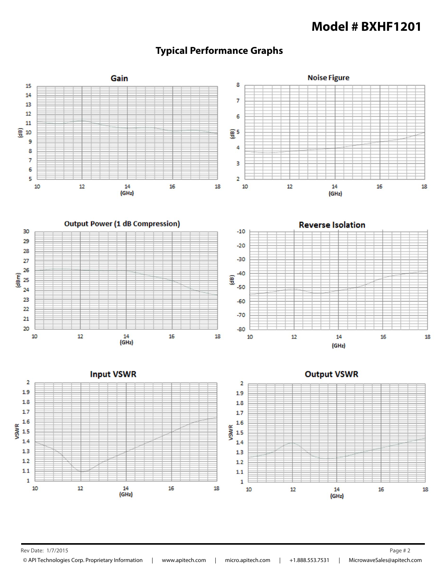# **Model # BXHF1201**



### **Typical Performance Graphs**

![](_page_1_Figure_3.jpeg)

![](_page_1_Figure_4.jpeg)

![](_page_1_Figure_5.jpeg)

Rev Date: 1/7/2015 **Page # 2**